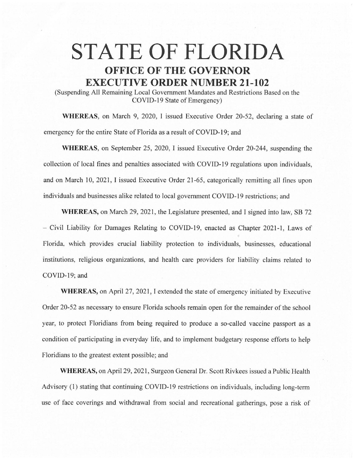## **STATE OF FLORIDA OFFICE OF THE GOVERNOR EXECUTIVE ORDER NUMBER 21-102**

(Suspending All Remaining Local Government Mandates and Restrictions Based on the COVID-19 State of Emergency)

**WHEREAS,** on March 9, 2020, I issued Executive Order 20-52, declaring a state of emergency for the entire State of Florida as a result of COVID-19; and

**WHEREAS,** on September 25, 2020, I issued Executive Order 20-244, suspending the collection of local fines and penalties associated with COVID-19 regulations upon individuals, and on March 10, 2021 , I issued Executive Order 21-65, categorically remitting all fines upon individuals and businesses alike related to local government COVID-19 restrictions; and

**WHEREAS,** on March 29, 2021, the Legislature presented, and I signed into law, SB 72 - Civil Liability for Damages Relating to COVID-19, enacted as Chapter 2021-1 , Laws of Florida, which provides crucial liability protection to individuals, businesses, educational institutions, religious organizations, and health care providers for liability claims related to COVID-19; and

**WHEREAS,** on April 27, 2021, I extended the state of emergency initiated by Executive Order 20-52 as necessary to ensure Florida schools remain open for the remainder of the school year, to protect Floridians from being required to produce a so-called vaccine passport as a condition of participating in everyday life, and to implement budgetary response efforts to help Floridians to the greatest extent possible; and

**WHEREAS,** on April 29, 2021 , Surgeon General Dr. Scott Rivkees issued a Public Health Advisory (I) stating that continuing COVID-19 restrictions on individuals, including long-term use of face coverings and withdrawal from social and recreational gatherings, pose a risk of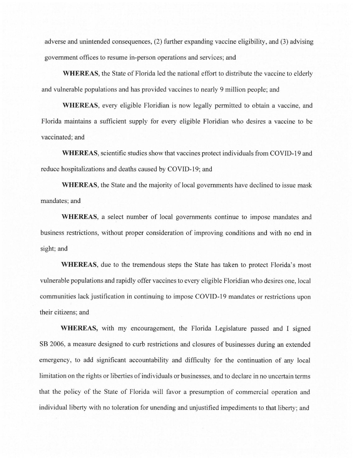adverse and unintended consequences, (2) further expanding vaccine eligibility, and (3) advising government offices to resume in-person operations and services; and

**WHEREAS,** the State of Florida led the national effort to distribute the vaccine to elderly and vulnerable populations and has provided vaccines to nearly 9 million people; and

**WHEREAS,** every eligible Floridian is now legally permitted to obtain a vaccine, and Florida maintains a sufficient supply for every eligible Floridian who desires a vaccine to be vaccinated; and

**WHEREAS,** scientific studies show that vaccines protect individuals from COVID-19 and reduce hospitalizations and deaths caused by COVID-19; and

WHEREAS, the State and the majority of local governments have declined to issue mask mandates; and

**WHEREAS,** a select number of local governments continue to impose mandates and business restrictions, without proper consideration of improving conditions and with no end in sight; and

**WHEREAS,** due to the tremendous steps the State has taken to protect Florida's most vulnerable populations and rapidly offer vaccines to every eligible Floridian who desires one, local communities lack justification in continuing to impose COVID-19 mandates or restrictions upon their citizens; and

**WHEREAS,** with my encouragement, the Florida Legislature passed and I signed SB 2006, a measure designed to curb restrictions and closures of businesses during an extended emergency, to add significant accountability and difficulty for the continuation of any local limitation on the rights or liberties of individuals or businesses, and to declare in no uncertain terms that the policy of the State of Florida will favor a presumption of commercial operation and individual liberty with no toleration for unending and unjustified impediments to that liberty; and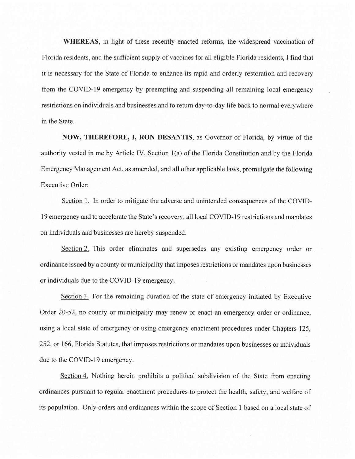**WHEREAS,** in light of these recently enacted reforms, the widespread vaccination of Florida residents, and the sufficient supply of vaccines for all eligible Florida residents, I find that it is necessary for the State of Florida to enhance its rapid and orderly restoration and recovery from the COVID-19 emergency by preempting and suspending all remaining local emergency restrictions on individuals and businesses and to return day-to-day life back to normal everywhere in the State.

**NOW, THEREFORE, I, RON DESANTIS,** as Governor of Florida, by virtue of the authority vested in me by Article IV, Section 1(a) of the Florida Constitution and by the Florida Emergency Management Act, as amended, and all other applicable laws, promulgate the following Executive Order:

Section 1. In order to mitigate the adverse and unintended consequences of the COVID-19 emergency and to accelerate the State's recovery, all local COVID-19 restrictions and mandates on individuals and businesses are hereby suspended.

Section 2. This order eliminates and supersedes any existing emergency order or ordinance issued by a county or municipality that imposes restrictions or mandates upon businesses or individuals due to the COVID-19 emergency.

Section 3. For the remaining duration of the state of emergency initiated by Executive Order 20-52, no county or municipality may renew or enact an emergency order or ordinance, using a local state of emergency or using emergency enactment procedures under Chapters 125, 252, or 166, Florida Statutes, that imposes restrictions or mandates upon businesses or individuals due to the COVID-19 emergency.

Section 4. Nothing herein prohibits a political subdivision of the State from enacting ordinances pursuant to regular enactment procedures to protect the health, safety, and welfare of its population. Only orders and ordinances within the scope of Section 1 based on a local state of